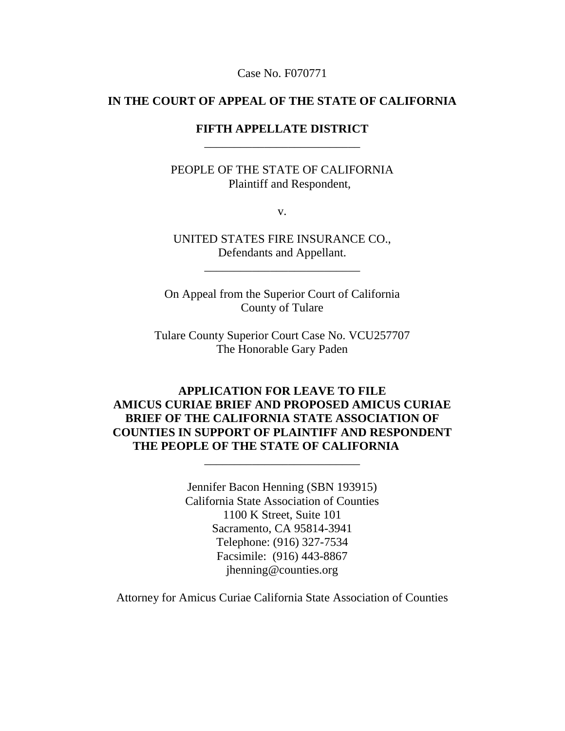Case No. F070771

#### **IN THE COURT OF APPEAL OF THE STATE OF CALIFORNIA**

### **FIFTH APPELLATE DISTRICT** \_\_\_\_\_\_\_\_\_\_\_\_\_\_\_\_\_\_\_\_\_\_\_\_\_\_

PEOPLE OF THE STATE OF CALIFORNIA Plaintiff and Respondent,

v.

UNITED STATES FIRE INSURANCE CO., Defendants and Appellant.

\_\_\_\_\_\_\_\_\_\_\_\_\_\_\_\_\_\_\_\_\_\_\_\_\_\_

On Appeal from the Superior Court of California County of Tulare

Tulare County Superior Court Case No. VCU257707 The Honorable Gary Paden

**APPLICATION FOR LEAVE TO FILE AMICUS CURIAE BRIEF AND PROPOSED AMICUS CURIAE BRIEF OF THE CALIFORNIA STATE ASSOCIATION OF COUNTIES IN SUPPORT OF PLAINTIFF AND RESPONDENT THE PEOPLE OF THE STATE OF CALIFORNIA**

\_\_\_\_\_\_\_\_\_\_\_\_\_\_\_\_\_\_\_\_\_\_\_\_\_\_

Jennifer Bacon Henning (SBN 193915) California State Association of Counties 1100 K Street, Suite 101 Sacramento, CA 95814-3941 Telephone: (916) 327-7534 Facsimile: (916) 443-8867 jhenning@counties.org

Attorney for Amicus Curiae California State Association of Counties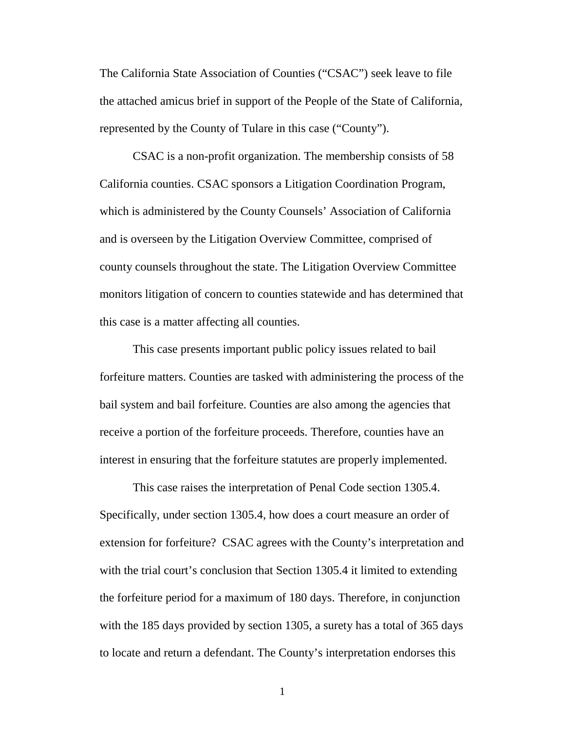The California State Association of Counties ("CSAC") seek leave to file the attached amicus brief in support of the People of the State of California, represented by the County of Tulare in this case ("County").

CSAC is a non-profit organization. The membership consists of 58 California counties. CSAC sponsors a Litigation Coordination Program, which is administered by the County Counsels' Association of California and is overseen by the Litigation Overview Committee, comprised of county counsels throughout the state. The Litigation Overview Committee monitors litigation of concern to counties statewide and has determined that this case is a matter affecting all counties.

This case presents important public policy issues related to bail forfeiture matters. Counties are tasked with administering the process of the bail system and bail forfeiture. Counties are also among the agencies that receive a portion of the forfeiture proceeds. Therefore, counties have an interest in ensuring that the forfeiture statutes are properly implemented.

This case raises the interpretation of Penal Code section 1305.4. Specifically, under section 1305.4, how does a court measure an order of extension for forfeiture? CSAC agrees with the County's interpretation and with the trial court's conclusion that Section 1305.4 it limited to extending the forfeiture period for a maximum of 180 days. Therefore, in conjunction with the 185 days provided by section 1305, a surety has a total of 365 days to locate and return a defendant. The County's interpretation endorses this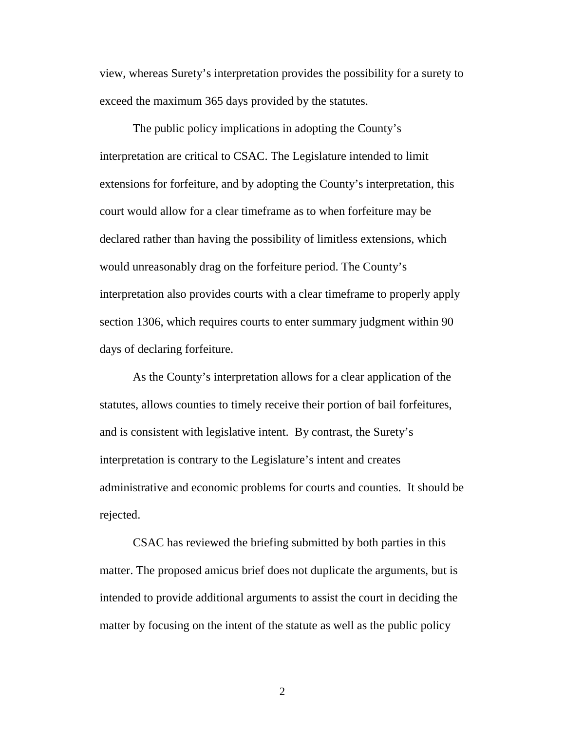view, whereas Surety's interpretation provides the possibility for a surety to exceed the maximum 365 days provided by the statutes.

The public policy implications in adopting the County's interpretation are critical to CSAC. The Legislature intended to limit extensions for forfeiture, and by adopting the County's interpretation, this court would allow for a clear timeframe as to when forfeiture may be declared rather than having the possibility of limitless extensions, which would unreasonably drag on the forfeiture period. The County's interpretation also provides courts with a clear timeframe to properly apply section 1306, which requires courts to enter summary judgment within 90 days of declaring forfeiture.

As the County's interpretation allows for a clear application of the statutes, allows counties to timely receive their portion of bail forfeitures, and is consistent with legislative intent. By contrast, the Surety's interpretation is contrary to the Legislature's intent and creates administrative and economic problems for courts and counties. It should be rejected.

CSAC has reviewed the briefing submitted by both parties in this matter. The proposed amicus brief does not duplicate the arguments, but is intended to provide additional arguments to assist the court in deciding the matter by focusing on the intent of the statute as well as the public policy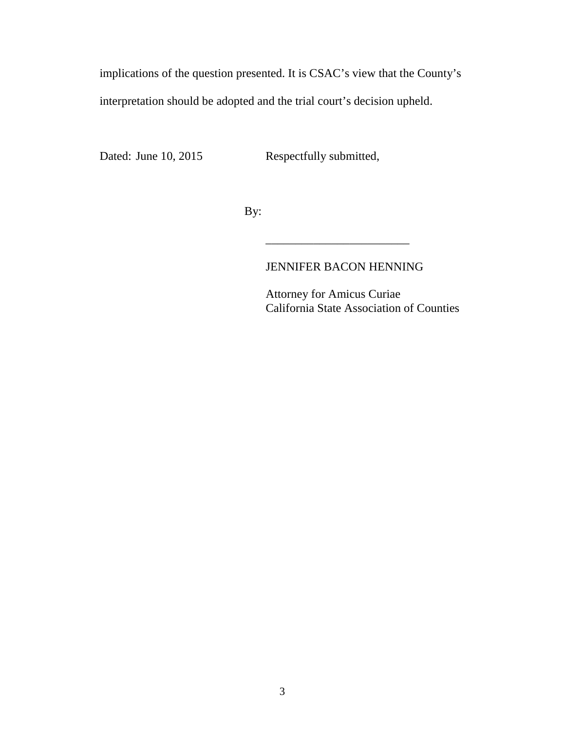implications of the question presented. It is CSAC's view that the County's interpretation should be adopted and the trial court's decision upheld.

Dated: June 10, 2015 Respectfully submitted,

By:

### JENNIFER BACON HENNING

\_\_\_\_\_\_\_\_\_\_\_\_\_\_\_\_\_\_\_\_\_\_\_\_

Attorney for Amicus Curiae California State Association of Counties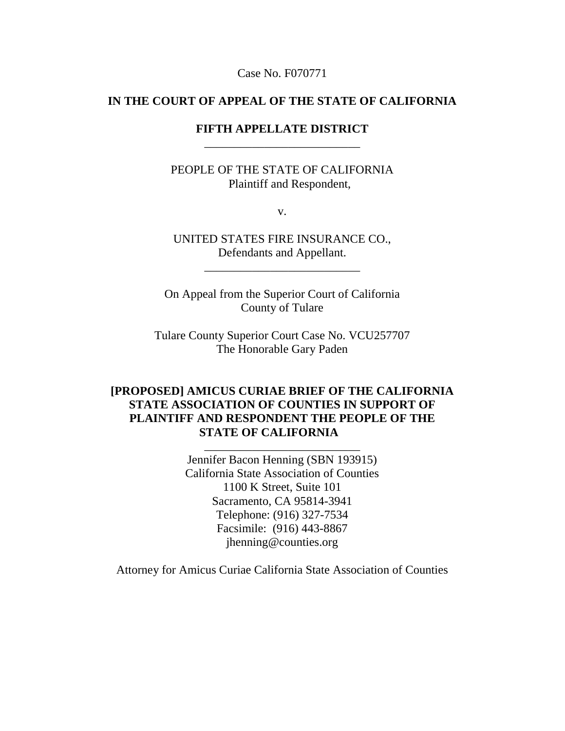Case No. F070771

#### **IN THE COURT OF APPEAL OF THE STATE OF CALIFORNIA**

### **FIFTH APPELLATE DISTRICT** \_\_\_\_\_\_\_\_\_\_\_\_\_\_\_\_\_\_\_\_\_\_\_\_\_\_

PEOPLE OF THE STATE OF CALIFORNIA Plaintiff and Respondent,

v.

UNITED STATES FIRE INSURANCE CO., Defendants and Appellant.

\_\_\_\_\_\_\_\_\_\_\_\_\_\_\_\_\_\_\_\_\_\_\_\_\_\_

On Appeal from the Superior Court of California County of Tulare

Tulare County Superior Court Case No. VCU257707 The Honorable Gary Paden

## **[PROPOSED] AMICUS CURIAE BRIEF OF THE CALIFORNIA STATE ASSOCIATION OF COUNTIES IN SUPPORT OF PLAINTIFF AND RESPONDENT THE PEOPLE OF THE STATE OF CALIFORNIA**

\_\_\_\_\_\_\_\_\_\_\_\_\_\_\_\_\_\_\_\_\_\_\_\_\_\_

Jennifer Bacon Henning (SBN 193915) California State Association of Counties 1100 K Street, Suite 101 Sacramento, CA 95814-3941 Telephone: (916) 327-7534 Facsimile: (916) 443-8867 jhenning@counties.org

Attorney for Amicus Curiae California State Association of Counties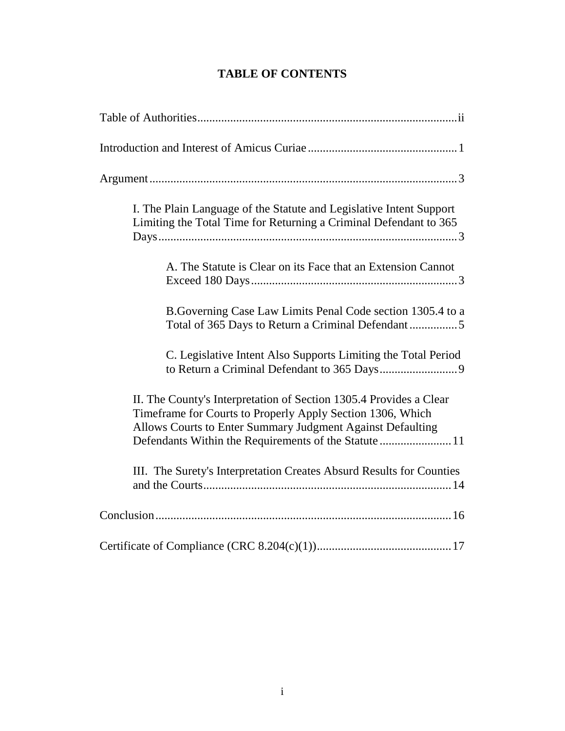# **TABLE OF CONTENTS**

| I. The Plain Language of the Statute and Legislative Intent Support<br>Limiting the Total Time for Returning a Criminal Defendant to 365                                                                                                               |
|--------------------------------------------------------------------------------------------------------------------------------------------------------------------------------------------------------------------------------------------------------|
| A. The Statute is Clear on its Face that an Extension Cannot                                                                                                                                                                                           |
| B. Governing Case Law Limits Penal Code section 1305.4 to a<br>Total of 365 Days to Return a Criminal Defendant5                                                                                                                                       |
| C. Legislative Intent Also Supports Limiting the Total Period                                                                                                                                                                                          |
| II. The County's Interpretation of Section 1305.4 Provides a Clear<br>Timeframe for Courts to Properly Apply Section 1306, Which<br>Allows Courts to Enter Summary Judgment Against Defaulting<br>Defendants Within the Requirements of the Statute 11 |
| III. The Surety's Interpretation Creates Absurd Results for Counties                                                                                                                                                                                   |
|                                                                                                                                                                                                                                                        |
|                                                                                                                                                                                                                                                        |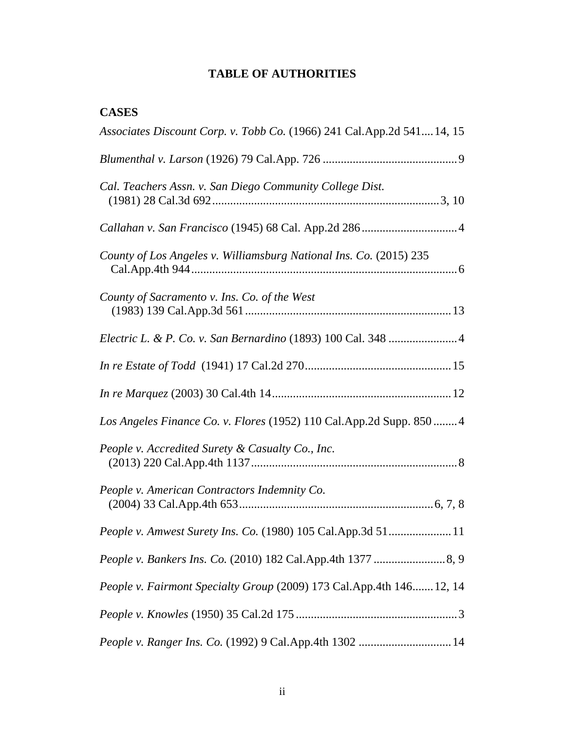# **TABLE OF AUTHORITIES**

# **CASES**

| Associates Discount Corp. v. Tobb Co. (1966) 241 Cal.App.2d 54114, 15 |
|-----------------------------------------------------------------------|
|                                                                       |
| Cal. Teachers Assn. v. San Diego Community College Dist.              |
|                                                                       |
| County of Los Angeles v. Williamsburg National Ins. Co. (2015) 235    |
| County of Sacramento v. Ins. Co. of the West                          |
|                                                                       |
|                                                                       |
|                                                                       |
| Los Angeles Finance Co. v. Flores (1952) 110 Cal.App.2d Supp. 850  4  |
| People v. Accredited Surety & Casualty Co., Inc.                      |
| People v. American Contractors Indemnity Co.                          |
| People v. Amwest Surety Ins. Co. (1980) 105 Cal.App.3d 5111           |
|                                                                       |
| People v. Fairmont Specialty Group (2009) 173 Cal.App.4th 146 12, 14  |
|                                                                       |
| People v. Ranger Ins. Co. (1992) 9 Cal.App.4th 1302  14               |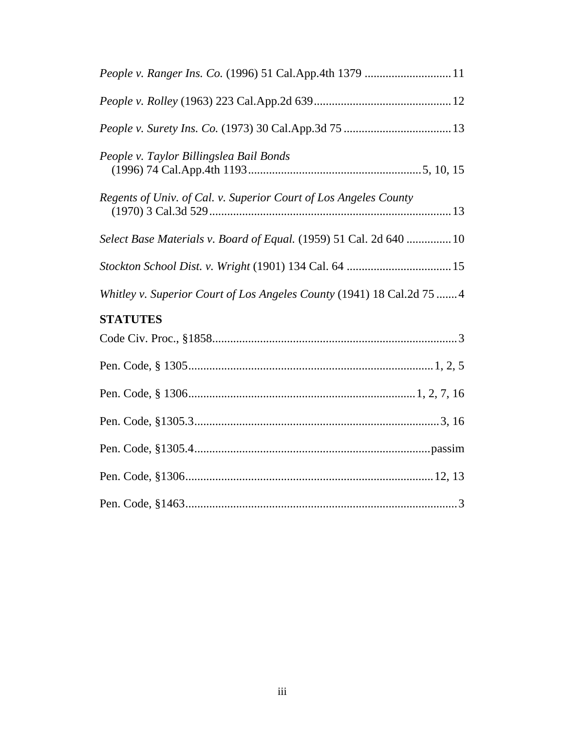| People v. Ranger Ins. Co. (1996) 51 Cal.App.4th 1379  11               |
|------------------------------------------------------------------------|
|                                                                        |
|                                                                        |
| People v. Taylor Billingslea Bail Bonds                                |
| Regents of Univ. of Cal. v. Superior Court of Los Angeles County       |
| Select Base Materials v. Board of Equal. (1959) 51 Cal. 2d 640  10     |
|                                                                        |
| Whitley v. Superior Court of Los Angeles County (1941) 18 Cal.2d 75  4 |
| <b>STATUTES</b>                                                        |
|                                                                        |
|                                                                        |
|                                                                        |
|                                                                        |
|                                                                        |
|                                                                        |
|                                                                        |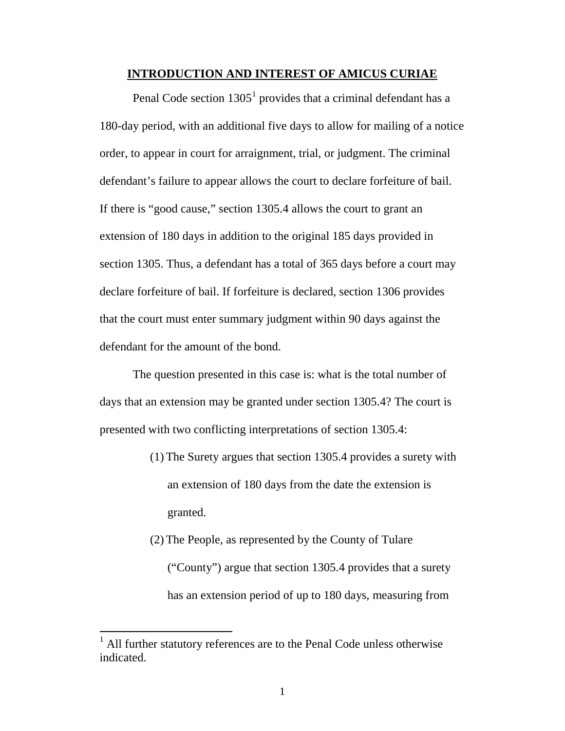#### **INTRODUCTION AND INTEREST OF AMICUS CURIAE**

Penal Code section  $1305<sup>1</sup>$  $1305<sup>1</sup>$  provides that a criminal defendant has a 180-day period, with an additional five days to allow for mailing of a notice order, to appear in court for arraignment, trial, or judgment. The criminal defendant's failure to appear allows the court to declare forfeiture of bail. If there is "good cause," section 1305.4 allows the court to grant an extension of 180 days in addition to the original 185 days provided in section 1305. Thus, a defendant has a total of 365 days before a court may declare forfeiture of bail. If forfeiture is declared, section 1306 provides that the court must enter summary judgment within 90 days against the defendant for the amount of the bond.

The question presented in this case is: what is the total number of days that an extension may be granted under section 1305.4? The court is presented with two conflicting interpretations of section 1305.4:

- (1) The Surety argues that section 1305.4 provides a surety with an extension of 180 days from the date the extension is granted.
- (2) The People, as represented by the County of Tulare ("County") argue that section 1305.4 provides that a surety has an extension period of up to 180 days, measuring from

<span id="page-8-0"></span> $<sup>1</sup>$  All further statutory references are to the Penal Code unless otherwise</sup> indicated.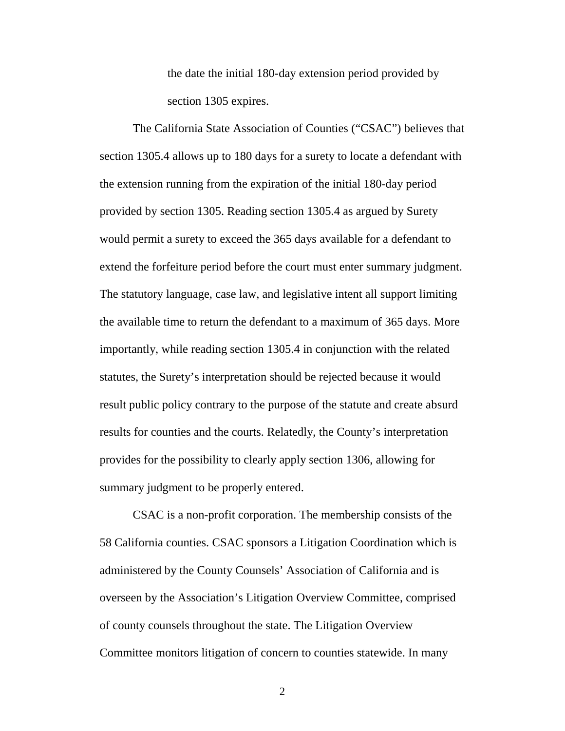the date the initial 180-day extension period provided by section 1305 expires.

The California State Association of Counties ("CSAC") believes that section 1305.4 allows up to 180 days for a surety to locate a defendant with the extension running from the expiration of the initial 180-day period provided by section 1305. Reading section 1305.4 as argued by Surety would permit a surety to exceed the 365 days available for a defendant to extend the forfeiture period before the court must enter summary judgment. The statutory language, case law, and legislative intent all support limiting the available time to return the defendant to a maximum of 365 days. More importantly, while reading section 1305.4 in conjunction with the related statutes, the Surety's interpretation should be rejected because it would result public policy contrary to the purpose of the statute and create absurd results for counties and the courts. Relatedly, the County's interpretation provides for the possibility to clearly apply section 1306, allowing for summary judgment to be properly entered.

CSAC is a non-profit corporation. The membership consists of the 58 California counties. CSAC sponsors a Litigation Coordination which is administered by the County Counsels' Association of California and is overseen by the Association's Litigation Overview Committee, comprised of county counsels throughout the state. The Litigation Overview Committee monitors litigation of concern to counties statewide. In many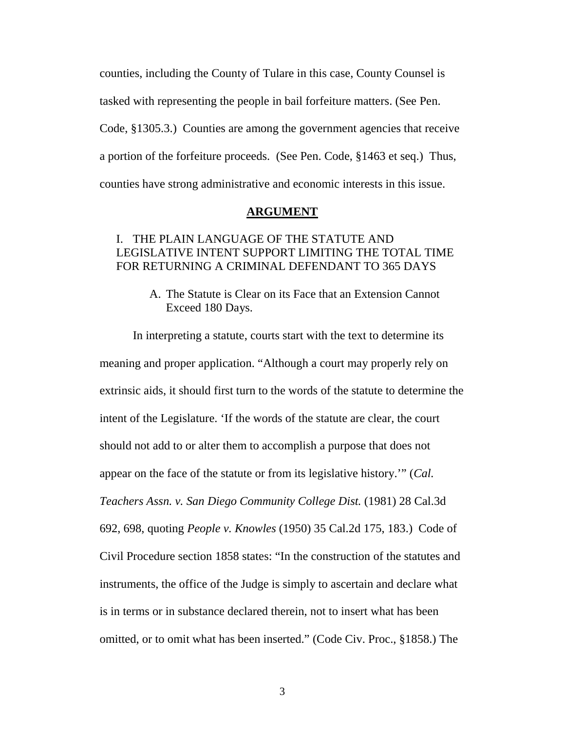counties, including the County of Tulare in this case, County Counsel is tasked with representing the people in bail forfeiture matters. (See Pen. Code, §1305.3.) Counties are among the government agencies that receive a portion of the forfeiture proceeds. (See Pen. Code, §1463 et seq.) Thus, counties have strong administrative and economic interests in this issue.

#### **ARGUMENT**

#### I. THE PLAIN LANGUAGE OF THE STATUTE AND LEGISLATIVE INTENT SUPPORT LIMITING THE TOTAL TIME FOR RETURNING A CRIMINAL DEFENDANT TO 365 DAYS

A. The Statute is Clear on its Face that an Extension Cannot Exceed 180 Days.

In interpreting a statute, courts start with the text to determine its meaning and proper application. "Although a court may properly rely on extrinsic aids, it should first turn to the words of the statute to determine the intent of the Legislature. 'If the words of the statute are clear, the court should not add to or alter them to accomplish a purpose that does not appear on the face of the statute or from its legislative history.'" (*Cal. Teachers Assn. v. San Diego Community College Dist.* (1981) 28 Cal.3d 692, 698, quoting *People v. Knowles* (1950) 35 Cal.2d 175, 183.) Code of Civil Procedure section 1858 states: "In the construction of the statutes and instruments, the office of the Judge is simply to ascertain and declare what is in terms or in substance declared therein, not to insert what has been omitted, or to omit what has been inserted." (Code Civ. Proc., §1858.) The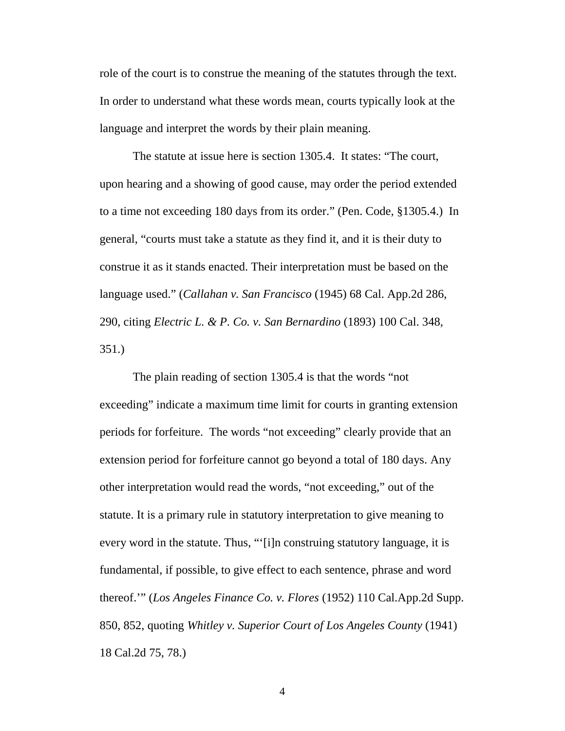role of the court is to construe the meaning of the statutes through the text. In order to understand what these words mean, courts typically look at the language and interpret the words by their plain meaning.

The statute at issue here is section 1305.4. It states: "The court, upon hearing and a showing of good cause, may order the period extended to a time not exceeding 180 days from its order." (Pen. Code, §1305.4.) In general, "courts must take a statute as they find it, and it is their duty to construe it as it stands enacted. Their interpretation must be based on the language used." (*Callahan v. San Francisco* (1945) 68 Cal. App.2d 286, 290, citing *Electric L. & P. Co. v. San Bernardino* (1893) 100 Cal. 348, 351.)

The plain reading of section 1305.4 is that the words "not exceeding" indicate a maximum time limit for courts in granting extension periods for forfeiture. The words "not exceeding" clearly provide that an extension period for forfeiture cannot go beyond a total of 180 days. Any other interpretation would read the words, "not exceeding," out of the statute. It is a primary rule in statutory interpretation to give meaning to every word in the statute. Thus, "'[i]n construing statutory language, it is fundamental, if possible, to give effect to each sentence, phrase and word thereof.'" (*Los Angeles Finance Co. v. Flores* (1952) 110 Cal.App.2d Supp. 850, 852, quoting *Whitley v. Superior Court of Los Angeles County* (1941) 18 Cal.2d 75, 78.)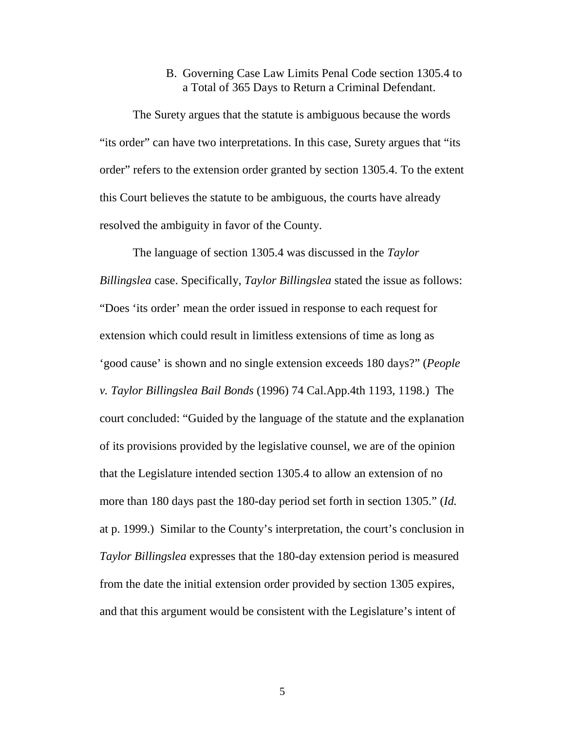#### B. Governing Case Law Limits Penal Code section 1305.4 to a Total of 365 Days to Return a Criminal Defendant.

The Surety argues that the statute is ambiguous because the words "its order" can have two interpretations. In this case, Surety argues that "its order" refers to the extension order granted by section 1305.4. To the extent this Court believes the statute to be ambiguous, the courts have already resolved the ambiguity in favor of the County.

The language of section 1305.4 was discussed in the *Taylor Billingslea* case. Specifically, *Taylor Billingslea* stated the issue as follows: "Does 'its order' mean the order issued in response to each request for extension which could result in limitless extensions of time as long as 'good cause' is shown and no single extension exceeds 180 days?" (*People v. Taylor Billingslea Bail Bonds* (1996) 74 Cal.App.4th 1193, 1198.) The court concluded: "Guided by the language of the statute and the explanation of its provisions provided by the legislative counsel, we are of the opinion that the Legislature intended section 1305.4 to allow an extension of no more than 180 days past the 180-day period set forth in section 1305." (*Id.*  at p. 1999.) Similar to the County's interpretation, the court's conclusion in *Taylor Billingslea* expresses that the 180-day extension period is measured from the date the initial extension order provided by section 1305 expires, and that this argument would be consistent with the Legislature's intent of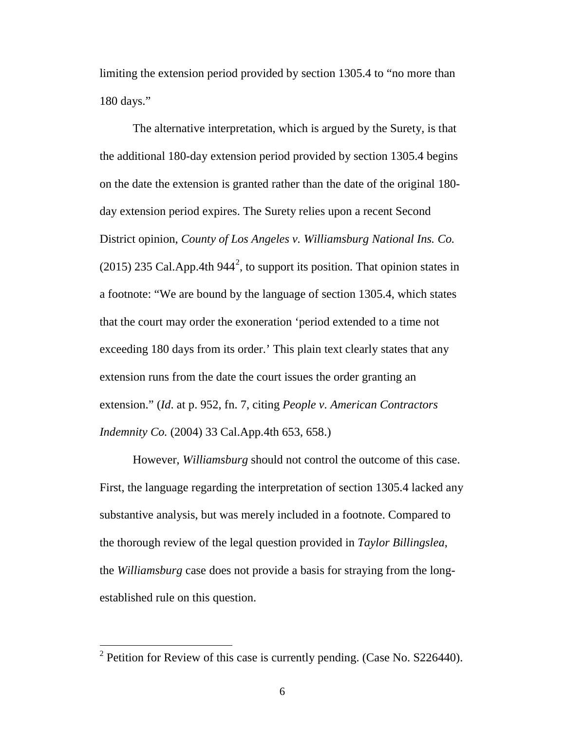limiting the extension period provided by section 1305.4 to "no more than 180 days."

The alternative interpretation, which is argued by the Surety, is that the additional 180-day extension period provided by section 1305.4 begins on the date the extension is granted rather than the date of the original 180 day extension period expires. The Surety relies upon a recent Second District opinion, *County of Los Angeles v. Williamsburg National Ins. Co.* ([2](#page-13-0)015) 235 Cal. App. 4th 944<sup>2</sup>, to support its position. That opinion states in a footnote: "We are bound by the language of section 1305.4, which states that the court may order the exoneration 'period extended to a time not exceeding 180 days from its order.' This plain text clearly states that any extension runs from the date the court issues the order granting an extension." (*Id*. at p. 952, fn. 7, citing *People v. American Contractors Indemnity Co.* (2004) 33 Cal.App.4th 653, 658.)

However, *Williamsburg* should not control the outcome of this case. First, the language regarding the interpretation of section 1305.4 lacked any substantive analysis, but was merely included in a footnote. Compared to the thorough review of the legal question provided in *Taylor Billingslea*, the *Williamsburg* case does not provide a basis for straying from the longestablished rule on this question.

<span id="page-13-0"></span> $2$  Petition for Review of this case is currently pending. (Case No. S226440).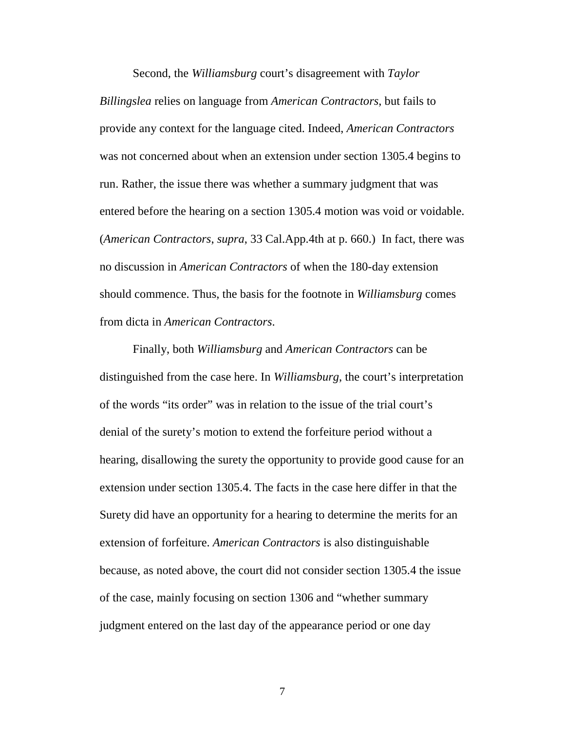Second, the *Williamsburg* court's disagreement with *Taylor Billingslea* relies on language from *American Contractors*, but fails to provide any context for the language cited. Indeed, *American Contractors*  was not concerned about when an extension under section 1305.4 begins to run. Rather, the issue there was whether a summary judgment that was entered before the hearing on a section 1305.4 motion was void or voidable. (*American Contractors*, *supra*, 33 Cal.App.4th at p. 660.) In fact, there was no discussion in *American Contractors* of when the 180-day extension should commence. Thus, the basis for the footnote in *Williamsburg* comes from dicta in *American Contractors*.

Finally, both *Williamsburg* and *American Contractors* can be distinguished from the case here. In *Williamsburg*, the court's interpretation of the words "its order" was in relation to the issue of the trial court's denial of the surety's motion to extend the forfeiture period without a hearing, disallowing the surety the opportunity to provide good cause for an extension under section 1305.4. The facts in the case here differ in that the Surety did have an opportunity for a hearing to determine the merits for an extension of forfeiture. *American Contractors* is also distinguishable because, as noted above, the court did not consider section 1305.4 the issue of the case, mainly focusing on section 1306 and "whether summary judgment entered on the last day of the appearance period or one day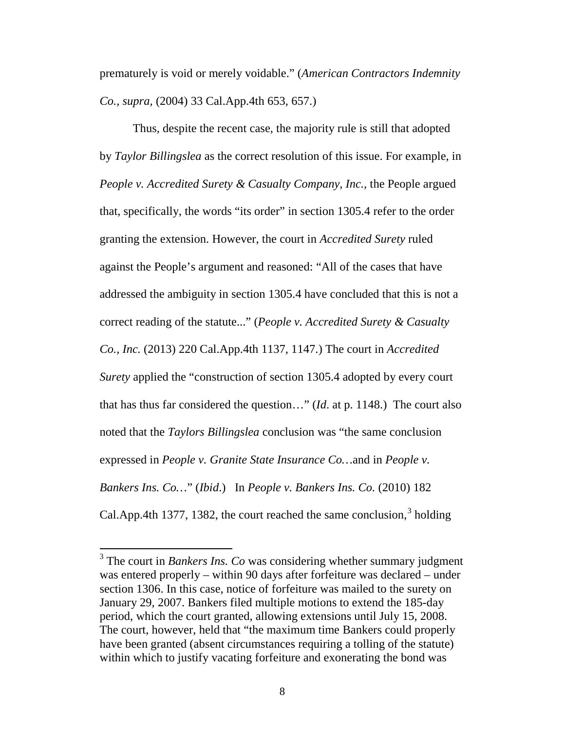prematurely is void or merely voidable." (*American Contractors Indemnity Co., supra,* (2004) 33 Cal.App.4th 653, 657.)

Thus, despite the recent case, the majority rule is still that adopted by *Taylor Billingslea* as the correct resolution of this issue. For example, in *People v. Accredited Surety & Casualty Company, Inc.,* the People argued that, specifically, the words "its order" in section 1305.4 refer to the order granting the extension. However, the court in *Accredited Surety* ruled against the People's argument and reasoned: "All of the cases that have addressed the ambiguity in section 1305.4 have concluded that this is not a correct reading of the statute..." (*People v. Accredited Surety & Casualty Co., Inc.* (2013) 220 Cal.App.4th 1137, 1147.) The court in *Accredited Surety* applied the "construction of section 1305.4 adopted by every court that has thus far considered the question…" (*Id*. at p. 1148.) The court also noted that the *Taylors Billingslea* conclusion was "the same conclusion expressed in *People v. Granite State Insurance Co…*and in *People v. Bankers Ins. Co…*" (*Ibid*.) In *People v. Bankers Ins. Co.* (2010) 182 Cal.App.4th 1[3](#page-15-0)77, 1382, the court reached the same conclusion,  $3$  holding

<span id="page-15-0"></span><sup>&</sup>lt;sup>3</sup> The court in *Bankers Ins. Co* was considering whether summary judgment was entered properly – within 90 days after forfeiture was declared – under section 1306. In this case, notice of forfeiture was mailed to the surety on January 29, 2007. Bankers filed multiple motions to extend the 185-day period, which the court granted, allowing extensions until July 15, 2008. The court, however, held that "the maximum time Bankers could properly have been granted (absent circumstances requiring a tolling of the statute) within which to justify vacating forfeiture and exonerating the bond was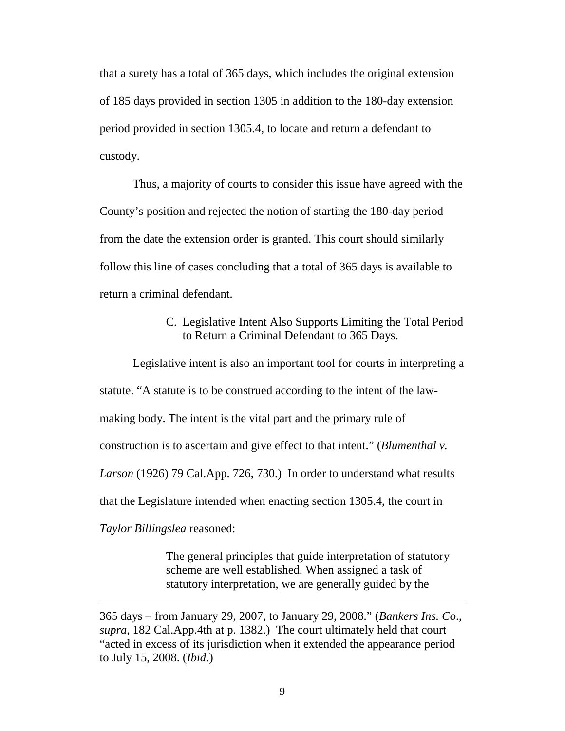that a surety has a total of 365 days, which includes the original extension of 185 days provided in section 1305 in addition to the 180-day extension period provided in section 1305.4, to locate and return a defendant to custody.

Thus, a majority of courts to consider this issue have agreed with the County's position and rejected the notion of starting the 180-day period from the date the extension order is granted. This court should similarly follow this line of cases concluding that a total of 365 days is available to return a criminal defendant.

#### C. Legislative Intent Also Supports Limiting the Total Period to Return a Criminal Defendant to 365 Days.

Legislative intent is also an important tool for courts in interpreting a statute. "A statute is to be construed according to the intent of the lawmaking body. The intent is the vital part and the primary rule of construction is to ascertain and give effect to that intent." (*Blumenthal v. Larson* (1926) 79 Cal.App. 726, 730.) In order to understand what results that the Legislature intended when enacting section 1305.4, the court in *Taylor Billingslea* reasoned:

> The general principles that guide interpretation of statutory scheme are well established. When assigned a task of statutory interpretation, we are generally guided by the

 $\overline{a}$ 

<sup>365</sup> days – from January 29, 2007, to January 29, 2008." (*Bankers Ins. Co*., *supra*, 182 Cal.App.4th at p. 1382.) The court ultimately held that court "acted in excess of its jurisdiction when it extended the appearance period to July 15, 2008. (*Ibid*.)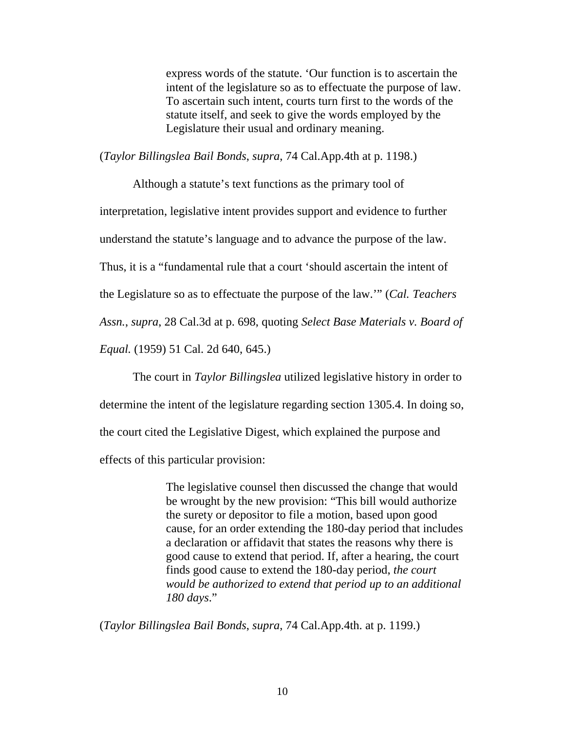express words of the statute. 'Our function is to ascertain the intent of the legislature so as to effectuate the purpose of law. To ascertain such intent, courts turn first to the words of the statute itself, and seek to give the words employed by the Legislature their usual and ordinary meaning.

(*Taylor Billingslea Bail Bonds*, *supra*, 74 Cal.App.4th at p. 1198.)

Although a statute's text functions as the primary tool of interpretation, legislative intent provides support and evidence to further understand the statute's language and to advance the purpose of the law. Thus, it is a "fundamental rule that a court 'should ascertain the intent of the Legislature so as to effectuate the purpose of the law.'" (*Cal. Teachers Assn.*, *supra*, 28 Cal.3d at p. 698, quoting *Select Base Materials v. Board of Equal.* (1959) 51 Cal. 2d 640, 645.)

The court in *Taylor Billingslea* utilized legislative history in order to determine the intent of the legislature regarding section 1305.4. In doing so, the court cited the Legislative Digest, which explained the purpose and effects of this particular provision:

> The legislative counsel then discussed the change that would be wrought by the new provision: "This bill would authorize the surety or depositor to file a motion, based upon good cause, for an order extending the 180-day period that includes a declaration or affidavit that states the reasons why there is good cause to extend that period. If, after a hearing, the court finds good cause to extend the 180-day period, *the court would be authorized to extend that period up to an additional 180 days*."

(*Taylor Billingslea Bail Bonds*, *supra*, 74 Cal.App.4th. at p. 1199.)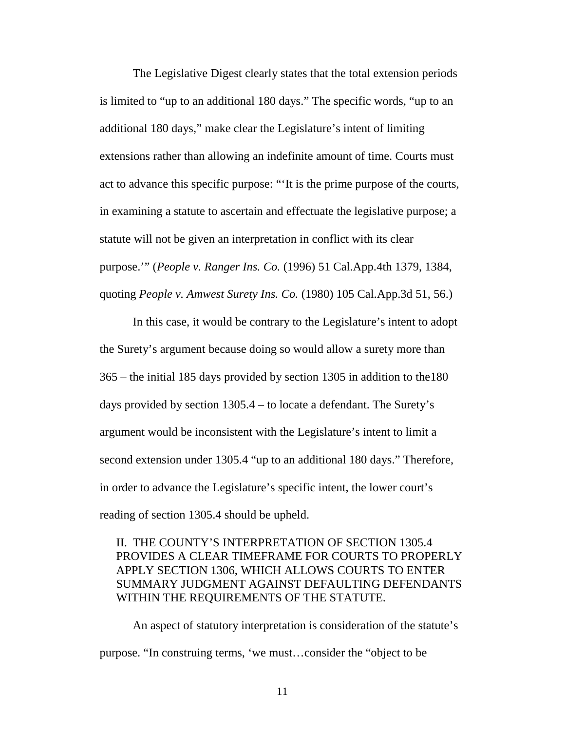The Legislative Digest clearly states that the total extension periods is limited to "up to an additional 180 days." The specific words, "up to an additional 180 days," make clear the Legislature's intent of limiting extensions rather than allowing an indefinite amount of time. Courts must act to advance this specific purpose: "'It is the prime purpose of the courts, in examining a statute to ascertain and effectuate the legislative purpose; a statute will not be given an interpretation in conflict with its clear purpose.'" (*People v. Ranger Ins. Co.* (1996) 51 Cal.App.4th 1379, 1384, quoting *People v. Amwest Surety Ins. Co.* (1980) 105 Cal.App.3d 51, 56.)

In this case, it would be contrary to the Legislature's intent to adopt the Surety's argument because doing so would allow a surety more than 365 – the initial 185 days provided by section 1305 in addition to the180 days provided by section 1305.4 – to locate a defendant. The Surety's argument would be inconsistent with the Legislature's intent to limit a second extension under 1305.4 "up to an additional 180 days." Therefore, in order to advance the Legislature's specific intent, the lower court's reading of section 1305.4 should be upheld.

## II. THE COUNTY'S INTERPRETATION OF SECTION 1305.4 PROVIDES A CLEAR TIMEFRAME FOR COURTS TO PROPERLY APPLY SECTION 1306, WHICH ALLOWS COURTS TO ENTER SUMMARY JUDGMENT AGAINST DEFAULTING DEFENDANTS WITHIN THE REQUIREMENTS OF THE STATUTE.

An aspect of statutory interpretation is consideration of the statute's purpose. "In construing terms, 'we must…consider the "object to be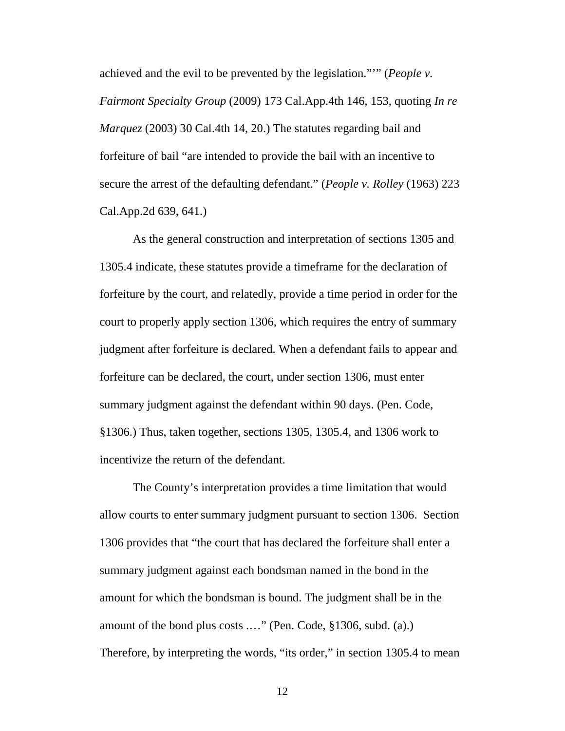achieved and the evil to be prevented by the legislation."'" (*People v. Fairmont Specialty Group* (2009) 173 Cal.App.4th 146, 153, quoting *In re Marquez* (2003) 30 Cal.4th 14, 20.) The statutes regarding bail and forfeiture of bail "are intended to provide the bail with an incentive to secure the arrest of the defaulting defendant." (*People v. Rolley* (1963) 223 Cal.App.2d 639, 641.)

As the general construction and interpretation of sections 1305 and 1305.4 indicate, these statutes provide a timeframe for the declaration of forfeiture by the court, and relatedly, provide a time period in order for the court to properly apply section 1306, which requires the entry of summary judgment after forfeiture is declared. When a defendant fails to appear and forfeiture can be declared, the court, under section 1306, must enter summary judgment against the defendant within 90 days. (Pen. Code, §1306.) Thus, taken together, sections 1305, 1305.4, and 1306 work to incentivize the return of the defendant.

The County's interpretation provides a time limitation that would allow courts to enter summary judgment pursuant to section 1306. Section 1306 provides that "the court that has declared the forfeiture shall enter a summary judgment against each bondsman named in the bond in the amount for which the bondsman is bound. The judgment shall be in the amount of the bond plus costs .…" (Pen. Code, §1306, subd. (a).) Therefore, by interpreting the words, "its order," in section 1305.4 to mean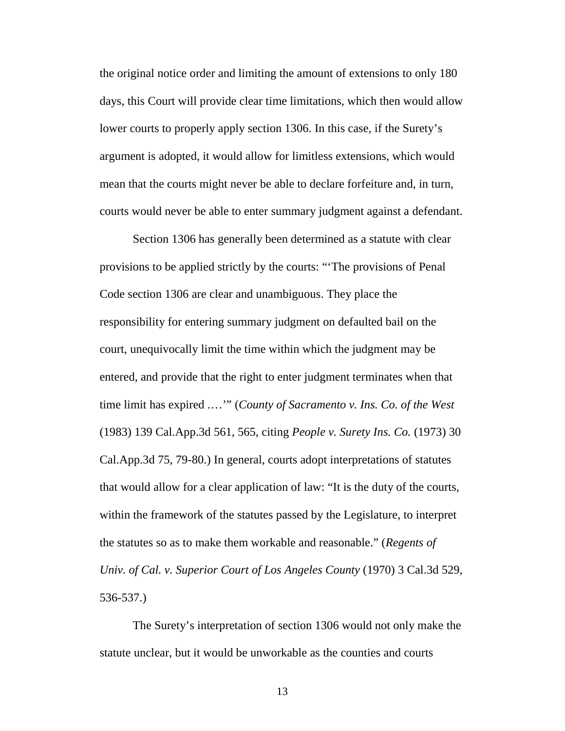the original notice order and limiting the amount of extensions to only 180 days, this Court will provide clear time limitations, which then would allow lower courts to properly apply section 1306. In this case, if the Surety's argument is adopted, it would allow for limitless extensions, which would mean that the courts might never be able to declare forfeiture and, in turn, courts would never be able to enter summary judgment against a defendant.

Section 1306 has generally been determined as a statute with clear provisions to be applied strictly by the courts: "'The provisions of Penal Code section 1306 are clear and unambiguous. They place the responsibility for entering summary judgment on defaulted bail on the court, unequivocally limit the time within which the judgment may be entered, and provide that the right to enter judgment terminates when that time limit has expired .…'" (*County of Sacramento v. Ins. Co. of the West* (1983) 139 Cal.App.3d 561, 565, citing *People v. Surety Ins. Co.* (1973) 30 Cal.App.3d 75, 79-80.) In general, courts adopt interpretations of statutes that would allow for a clear application of law: "It is the duty of the courts, within the framework of the statutes passed by the Legislature, to interpret the statutes so as to make them workable and reasonable." (*Regents of Univ. of Cal. v. Superior Court of Los Angeles County* (1970) 3 Cal.3d 529, 536-537.)

The Surety's interpretation of section 1306 would not only make the statute unclear, but it would be unworkable as the counties and courts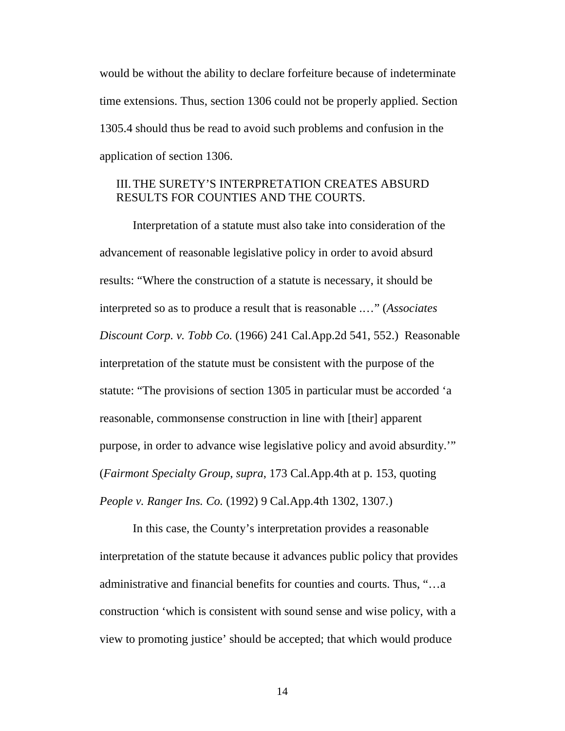would be without the ability to declare forfeiture because of indeterminate time extensions. Thus, section 1306 could not be properly applied. Section 1305.4 should thus be read to avoid such problems and confusion in the application of section 1306.

#### III.THE SURETY'S INTERPRETATION CREATES ABSURD RESULTS FOR COUNTIES AND THE COURTS.

Interpretation of a statute must also take into consideration of the advancement of reasonable legislative policy in order to avoid absurd results: "Where the construction of a statute is necessary, it should be interpreted so as to produce a result that is reasonable .…" (*Associates Discount Corp. v. Tobb Co.* (1966) 241 Cal.App.2d 541, 552.) Reasonable interpretation of the statute must be consistent with the purpose of the statute: "The provisions of section 1305 in particular must be accorded 'a reasonable, commonsense construction in line with [their] apparent purpose, in order to advance wise legislative policy and avoid absurdity.'" (*Fairmont Specialty Group*, *supra*, 173 Cal.App.4th at p. 153, quoting *People v. Ranger Ins. Co.* (1992) 9 Cal.App.4th 1302, 1307.)

In this case, the County's interpretation provides a reasonable interpretation of the statute because it advances public policy that provides administrative and financial benefits for counties and courts. Thus, "…a construction 'which is consistent with sound sense and wise policy, with a view to promoting justice' should be accepted; that which would produce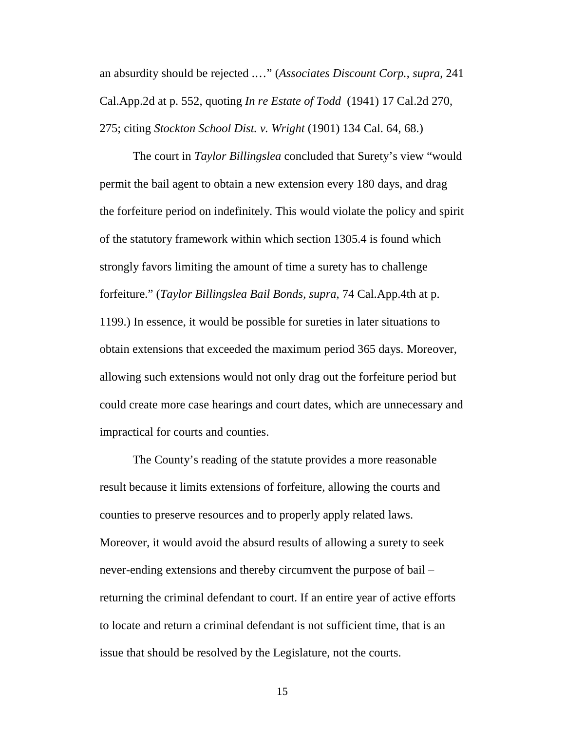an absurdity should be rejected .…" (*Associates Discount Corp.*, *supra*, 241 Cal.App.2d at p. 552, quoting *In re Estate of Todd* (1941) 17 Cal.2d 270, 275; citing *Stockton School Dist. v. Wright* (1901) 134 Cal. 64, 68.)

The court in *Taylor Billingslea* concluded that Surety's view "would permit the bail agent to obtain a new extension every 180 days, and drag the forfeiture period on indefinitely. This would violate the policy and spirit of the statutory framework within which section 1305.4 is found which strongly favors limiting the amount of time a surety has to challenge forfeiture." (*Taylor Billingslea Bail Bonds*, *supra*, 74 Cal.App.4th at p. 1199.) In essence, it would be possible for sureties in later situations to obtain extensions that exceeded the maximum period 365 days. Moreover, allowing such extensions would not only drag out the forfeiture period but could create more case hearings and court dates, which are unnecessary and impractical for courts and counties.

The County's reading of the statute provides a more reasonable result because it limits extensions of forfeiture, allowing the courts and counties to preserve resources and to properly apply related laws. Moreover, it would avoid the absurd results of allowing a surety to seek never-ending extensions and thereby circumvent the purpose of bail – returning the criminal defendant to court. If an entire year of active efforts to locate and return a criminal defendant is not sufficient time, that is an issue that should be resolved by the Legislature, not the courts.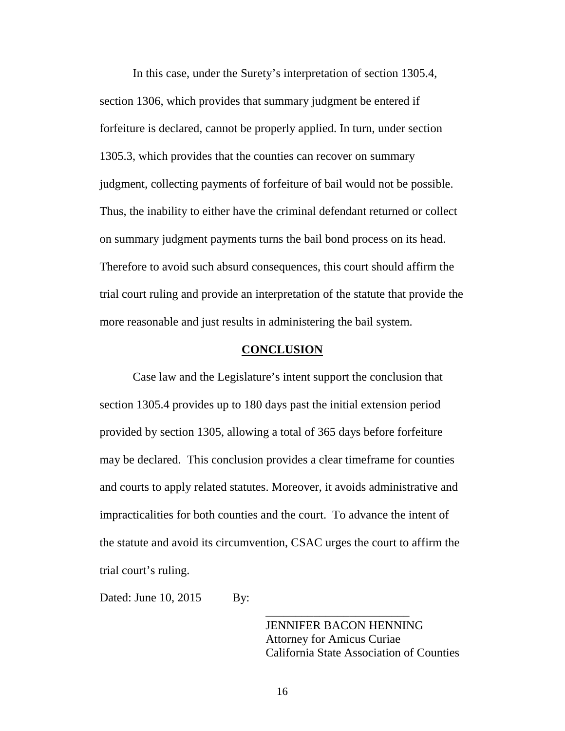In this case, under the Surety's interpretation of section 1305.4, section 1306, which provides that summary judgment be entered if forfeiture is declared, cannot be properly applied. In turn, under section 1305.3, which provides that the counties can recover on summary judgment, collecting payments of forfeiture of bail would not be possible. Thus, the inability to either have the criminal defendant returned or collect on summary judgment payments turns the bail bond process on its head. Therefore to avoid such absurd consequences, this court should affirm the trial court ruling and provide an interpretation of the statute that provide the more reasonable and just results in administering the bail system.

#### **CONCLUSION**

Case law and the Legislature's intent support the conclusion that section 1305.4 provides up to 180 days past the initial extension period provided by section 1305, allowing a total of 365 days before forfeiture may be declared. This conclusion provides a clear timeframe for counties and courts to apply related statutes. Moreover, it avoids administrative and impracticalities for both counties and the court. To advance the intent of the statute and avoid its circumvention, CSAC urges the court to affirm the trial court's ruling.

Dated: June 10, 2015 By:

JENNIFER BACON HENNING Attorney for Amicus Curiae California State Association of Counties

\_\_\_\_\_\_\_\_\_\_\_\_\_\_\_\_\_\_\_\_\_\_\_\_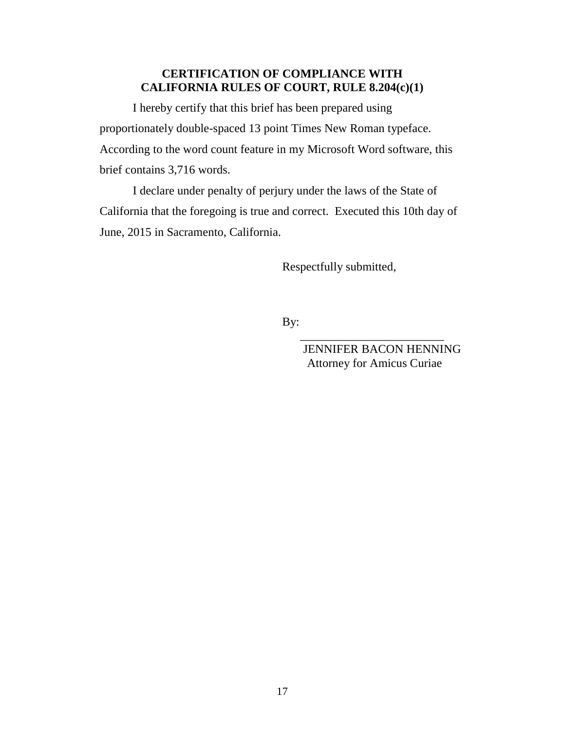# **CERTIFICATION OF COMPLIANCE WITH CALIFORNIA RULES OF COURT, RULE 8.204(c)(1)**

I hereby certify that this brief has been prepared using proportionately double-spaced 13 point Times New Roman typeface. According to the word count feature in my Microsoft Word software, this brief contains 3,716 words.

I declare under penalty of perjury under the laws of the State of California that the foregoing is true and correct. Executed this 10th day of June, 2015 in Sacramento, California.

Respectfully submitted,

By:

 $\frac{1}{\sqrt{2}}$  ,  $\frac{1}{\sqrt{2}}$  ,  $\frac{1}{\sqrt{2}}$  ,  $\frac{1}{\sqrt{2}}$  ,  $\frac{1}{\sqrt{2}}$  ,  $\frac{1}{\sqrt{2}}$  ,  $\frac{1}{\sqrt{2}}$  ,  $\frac{1}{\sqrt{2}}$  ,  $\frac{1}{\sqrt{2}}$  ,  $\frac{1}{\sqrt{2}}$  ,  $\frac{1}{\sqrt{2}}$  ,  $\frac{1}{\sqrt{2}}$  ,  $\frac{1}{\sqrt{2}}$  ,  $\frac{1}{\sqrt{2}}$  ,  $\frac{1}{\sqrt{2}}$  JENNIFER BACON HENNING Attorney for Amicus Curiae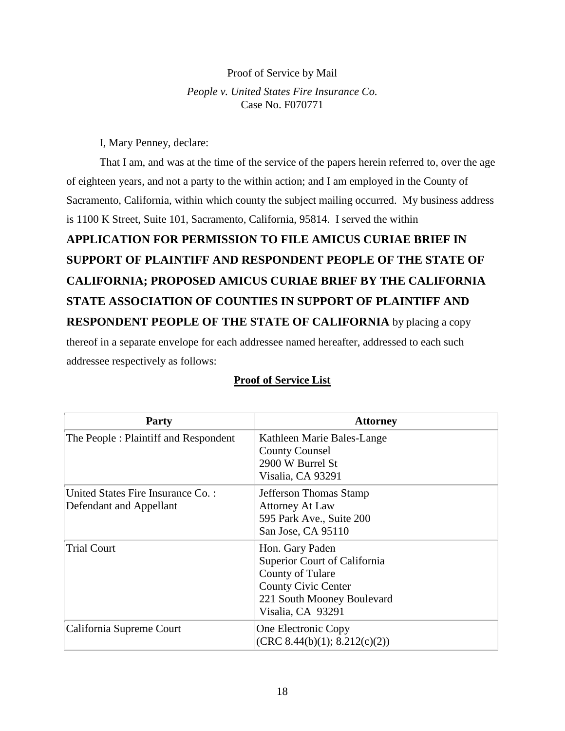#### Proof of Service by Mail

*People v. United States Fire Insurance Co.* Case No. F070771

I, Mary Penney, declare:

That I am, and was at the time of the service of the papers herein referred to, over the age of eighteen years, and not a party to the within action; and I am employed in the County of Sacramento, California, within which county the subject mailing occurred. My business address is 1100 K Street, Suite 101, Sacramento, California, 95814. I served the within

# **APPLICATION FOR PERMISSION TO FILE AMICUS CURIAE BRIEF IN SUPPORT OF PLAINTIFF AND RESPONDENT PEOPLE OF THE STATE OF CALIFORNIA; PROPOSED AMICUS CURIAE BRIEF BY THE CALIFORNIA STATE ASSOCIATION OF COUNTIES IN SUPPORT OF PLAINTIFF AND RESPONDENT PEOPLE OF THE STATE OF CALIFORNIA** by placing a copy thereof in a separate envelope for each addressee named hereafter, addressed to each such

addressee respectively as follows:

| Party                                                         | <b>Attorney</b>                                                                                                                                      |
|---------------------------------------------------------------|------------------------------------------------------------------------------------------------------------------------------------------------------|
| The People: Plaintiff and Respondent                          | Kathleen Marie Bales-Lange<br><b>County Counsel</b><br>2900 W Burrel St<br>Visalia, CA 93291                                                         |
| United States Fire Insurance Co. :<br>Defendant and Appellant | Jefferson Thomas Stamp<br><b>Attorney At Law</b><br>595 Park Ave., Suite 200<br>San Jose, CA 95110                                                   |
| <b>Trial Court</b>                                            | Hon. Gary Paden<br>Superior Court of California<br>County of Tulare<br><b>County Civic Center</b><br>221 South Mooney Boulevard<br>Visalia, CA 93291 |
| California Supreme Court                                      | One Electronic Copy<br>(CRC 8.44(b)(1); 8.212(c)(2))                                                                                                 |

## **Proof of Service List**